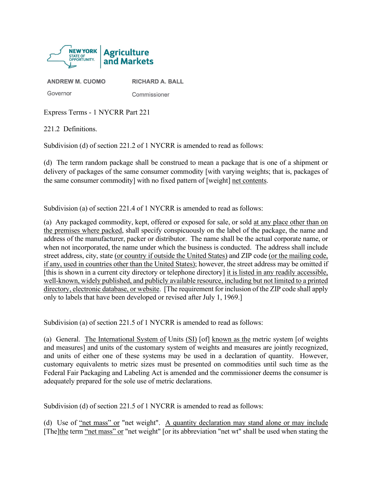

**ANDREW M. CUOMO** 

Commissioner

**RICHARD A. BALL** 

Express Terms - 1 NYCRR Part 221

221.2 Definitions.

Governor

Subdivision (d) of section 221.2 of 1 NYCRR is amended to read as follows:

(d) The term random package shall be construed to mean a package that is one of a shipment or delivery of packages of the same consumer commodity [with varying weights; that is, packages of the same consumer commodity] with no fixed pattern of [weight] net contents.

Subdivision (a) of section 221.4 of 1 NYCRR is amended to read as follows:

(a) Any packaged commodity, kept, offered or exposed for sale, or sold at any place other than on the premises where packed, shall specify conspicuously on the label of the package, the name and address of the manufacturer, packer or distributor. The name shall be the actual corporate name, or when not incorporated, the name under which the business is conducted. The address shall include street address, city, state (or country if outside the United States) and ZIP code (or the mailing code, if any, used in countries other than the United States); however, the street address may be omitted if [this is shown in a current city directory or telephone directory] it is listed in any readily accessible, well-known, widely published, and publicly available resource, including but not limited to a printed directory, electronic database, or website. [The requirement for inclusion of the ZIP code shall apply only to labels that have been developed or revised after July 1, 1969.]

Subdivision (a) of section 221.5 of 1 NYCRR is amended to read as follows:

(a) General. The International System of Units (SI) [of] known as the metric system [of weights and measures] and units of the customary system of weights and measures are jointly recognized, and units of either one of these systems may be used in a declaration of quantity. However, customary equivalents to metric sizes must be presented on commodities until such time as the Federal Fair Packaging and Labeling Act is amended and the commissioner deems the consumer is adequately prepared for the sole use of metric declarations.

Subdivision (d) of section 221.5 of 1 NYCRR is amended to read as follows:

(d) Use of "net mass" or "net weight". A quantity declaration may stand alone or may include [The]the term "net mass" or "net weight" [or its abbreviation "net wt" shall be used when stating the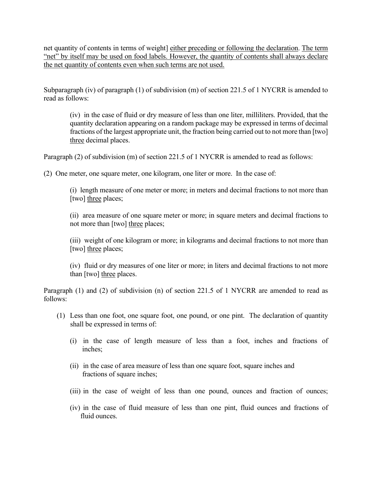net quantity of contents in terms of weight] either preceding or following the declaration. The term "net" by itself may be used on food labels. However, the quantity of contents shall always declare the net quantity of contents even when such terms are not used.

Subparagraph (iv) of paragraph (1) of subdivision (m) of section 221.5 of 1 NYCRR is amended to read as follows:

(iv) in the case of fluid or dry measure of less than one liter, milliliters. Provided, that the quantity declaration appearing on a random package may be expressed in terms of decimal fractions of the largest appropriate unit, the fraction being carried out to not more than [two] three decimal places.

Paragraph (2) of subdivision (m) of section 221.5 of 1 NYCRR is amended to read as follows:

(2) One meter, one square meter, one kilogram, one liter or more. In the case of:

(i) length measure of one meter or more; in meters and decimal fractions to not more than [two] three places;

(ii) area measure of one square meter or more; in square meters and decimal fractions to not more than [two] three places;

(iii) weight of one kilogram or more; in kilograms and decimal fractions to not more than [two] three places;

(iv) fluid or dry measures of one liter or more; in liters and decimal fractions to not more than [two] three places.

Paragraph (1) and (2) of subdivision (n) of section 221.5 of 1 NYCRR are amended to read as follows:

- (1) Less than one foot, one square foot, one pound, or one pint. The declaration of quantity shall be expressed in terms of:
	- (i) in the case of length measure of less than a foot, inches and fractions of inches;
	- (ii) in the case of area measure of less than one square foot, square inches and fractions of square inches;
	- (iii) in the case of weight of less than one pound, ounces and fraction of ounces;
	- (iv) in the case of fluid measure of less than one pint, fluid ounces and fractions of fluid ounces.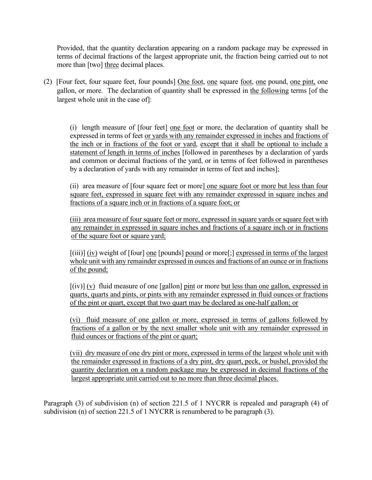Provided, that the quantity declaration appearing on a random package may be expressed in terms of decimal fractions of the largest appropriate unit, the fraction being carried out to not more than [two] three decimal places.

(2) [Four feet, four square feet, four pounds] One foot, one square foot, one pound, one pint, one gallon, or more. The declaration of quantity shall be expressed in the following terms [of the largest whole unit in the case of]:

(i) length measure of [four feet] one foot or more, the declaration of quantity shall be expressed in terms of feet or yards with any remainder expressed in inches and fractions of the inch or in fractions of the foot or yard, except that it shall be optional to include a statement of length in terms of inches [followed in parentheses by a declaration of yards and common or decimal fractions of the yard, or in terms of feet followed in parentheses by a declaration of yards with any remainder in terms of feet and inches];

(ii) area measure of [four square feet or more] one square foot or more but less than four square feet, expressed in square feet with any remainder expressed in square inches and fractions of a square inch or in fractions of a square foot; or

(iii) area measure of four square feet or more, expressed in square yards or square feet with any remainder in expressed in square inches and fractions of a square inch or in fractions of the square foot or square yard;

[(iii)] (iv) weight of [four] one [pounds] pound or more[;] expressed in terms of the largest whole unit with any remainder expressed in ounces and fractions of an ounce or in fractions of the pound;

 $[(iv)] (v)$  fluid measure of one [gallon] pint or more but less than one gallon, expressed in quarts, quarts and pints, or pints with any remainder expressed in fluid ounces or fractions of the pint or quart, except that two quart may be declared as one-half gallon; or

(vi) fluid measure of one gallon or more, expressed in terms of gallons followed by fractions of a gallon or by the next smaller whole unit with any remainder expressed in fluid ounces or fractions of the pint or quart;

(vii) dry measure of one dry pint or more, expressed in terms of the largest whole unit with the remainder expressed in fractions of a dry pint, dry quart, peck, or bushel, provided the quantity declaration on a random package may be expressed in decimal fractions of the largest appropriate unit carried out to no more than three decimal places.

Paragraph (3) of subdivision (n) of section 221.5 of 1 NYCRR is repealed and paragraph (4) of subdivision (n) of section 221.5 of 1 NYCRR is renumbered to be paragraph (3).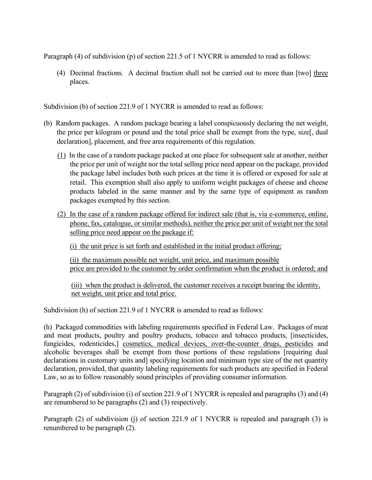Paragraph (4) of subdivision (p) of section 221.5 of 1 NYCRR is amended to read as follows:

(4) Decimal fractions. A decimal fraction shall not be carried out to more than [two] three places.

Subdivision (b) of section 221.9 of 1 NYCRR is amended to read as follows:

- (b) Random packages. A random package bearing a label conspicuously declaring the net weight, the price per kilogram or pound and the total price shall be exempt from the type, size, dual declaration], placement, and free area requirements of this regulation.
	- (1) In the case of a random package packed at one place for subsequent sale at another, neither the price per unit of weight nor the total selling price need appear on the package, provided the package label includes both such prices at the time it is offered or exposed for sale at retail. This exemption shall also apply to uniform weight packages of cheese and cheese products labeled in the same manner and by the same type of equipment as random packages exempted by this section.
	- (2) In the case of a random package offered for indirect sale (that is, via e-commerce, online, phone, fax, catalogue, or similar methods), neither the price per unit of weight nor the total selling price need appear on the package if:

(i) the unit price is set forth and established in the initial product offering;

(ii) the maximum possible net weight, unit price, and maximum possible price are provided to the customer by order confirmation when the product is ordered; and

(iii) when the product is delivered, the customer receives a receipt bearing the identity, net weight, unit price and total price.

Subdivision (h) of section 221.9 of 1 NYCRR is amended to read as follows:

(h) Packaged commodities with labeling requirements specified in Federal Law. Packages of meat and meat products, poultry and poultry products, tobacco and tobacco products, [insecticides, fungicides, rodenticides, cosmetics, medical devices, over-the-counter drugs, pesticides and alcoholic beverages shall be exempt from those portions of these regulations [requiring dual declarations in customary units and specifying location and minimum type size of the net quantity declaration, provided, that quantity labeling requirements for such products are specified in Federal Law, so as to follow reasonably sound principles of providing consumer information.

Paragraph (2) of subdivision (i) of section 221.9 of 1 NYCRR is repealed and paragraphs (3) and (4) are renumbered to be paragraphs (2) and (3) respectively.

Paragraph (2) of subdivision (j) of section 221.9 of 1 NYCRR is repealed and paragraph (3) is renumbered to be paragraph (2).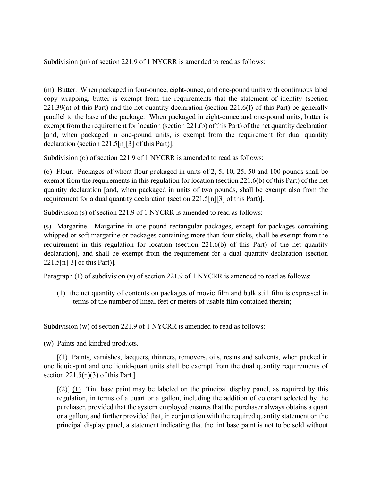Subdivision (m) of section 221.9 of 1 NYCRR is amended to read as follows:

(m) Butter. When packaged in four-ounce, eight-ounce, and one-pound units with continuous label copy wrapping, butter is exempt from the requirements that the statement of identity (section  $221.39(a)$  of this Part) and the net quantity declaration (section 221.6(f) of this Part) be generally parallel to the base of the package. When packaged in eight-ounce and one-pound units, butter is exempt from the requirement for location (section 221.(b) of this Part) of the net quantity declaration [and, when packaged in one-pound units, is exempt from the requirement for dual quantity declaration (section 221.5[n][3] of this Part)].

Subdivision (o) of section 221.9 of 1 NYCRR is amended to read as follows:

(o) Flour. Packages of wheat flour packaged in units of 2, 5, 10, 25, 50 and 100 pounds shall be exempt from the requirements in this regulation for location (section 221.6(b) of this Part) of the net quantity declaration [and, when packaged in units of two pounds, shall be exempt also from the requirement for a dual quantity declaration (section 221.5[n][3] of this Part)].

Subdivision (s) of section 221.9 of 1 NYCRR is amended to read as follows:

(s) Margarine. Margarine in one pound rectangular packages, except for packages containing whipped or soft margarine or packages containing more than four sticks, shall be exempt from the requirement in this regulation for location (section 221.6(b) of this Part) of the net quantity declaration[, and shall be exempt from the requirement for a dual quantity declaration (section 221.5[n][3] of this Part)].

Paragraph (1) of subdivision (v) of section 221.9 of 1 NYCRR is amended to read as follows:

(1) the net quantity of contents on packages of movie film and bulk still film is expressed in terms of the number of lineal feet or meters of usable film contained therein;

Subdivision (w) of section 221.9 of 1 NYCRR is amended to read as follows:

(w) Paints and kindred products.

[(1) Paints, varnishes, lacquers, thinners, removers, oils, resins and solvents, when packed in one liquid-pint and one liquid-quart units shall be exempt from the dual quantity requirements of section  $221.5(n)(3)$  of this Part.]

 $\lceil (2) \rceil$  (1) Tint base paint may be labeled on the principal display panel, as required by this regulation, in terms of a quart or a gallon, including the addition of colorant selected by the purchaser, provided that the system employed ensures that the purchaser always obtains a quart or a gallon; and further provided that, in conjunction with the required quantity statement on the principal display panel, a statement indicating that the tint base paint is not to be sold without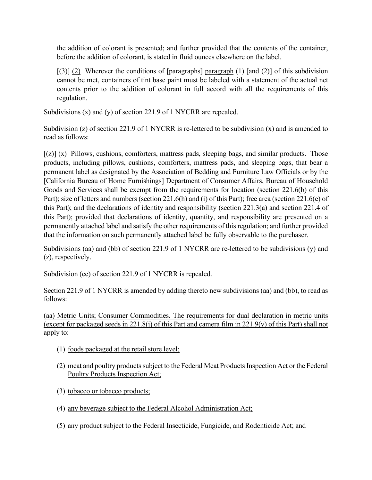the addition of colorant is presented; and further provided that the contents of the container, before the addition of colorant, is stated in fluid ounces elsewhere on the label.

 $[(3)]$  (2) Wherever the conditions of [paragraphs] paragraph (1) [and (2)] of this subdivision cannot be met, containers of tint base paint must be labeled with a statement of the actual net contents prior to the addition of colorant in full accord with all the requirements of this regulation.

Subdivisions (x) and (y) of section 221.9 of 1 NYCRR are repealed.

Subdivision (z) of section 221.9 of 1 NYCRR is re-lettered to be subdivision (x) and is amended to read as follows:

 $[(z)]$  (x) Pillows, cushions, comforters, mattress pads, sleeping bags, and similar products. Those products, including pillows, cushions, comforters, mattress pads, and sleeping bags, that bear a permanent label as designated by the Association of Bedding and Furniture Law Officials or by the [California Bureau of Home Furnishings] Department of Consumer Affairs, Bureau of Household Goods and Services shall be exempt from the requirements for location (section 221.6(b) of this Part); size of letters and numbers (section 221.6(h) and (i) of this Part); free area (section 221.6(e) of this Part); and the declarations of identity and responsibility (section 221.3(a) and section 221.4 of this Part); provided that declarations of identity, quantity, and responsibility are presented on a permanently attached label and satisfy the other requirements of this regulation; and further provided that the information on such permanently attached label be fully observable to the purchaser.

Subdivisions (aa) and (bb) of section 221.9 of 1 NYCRR are re-lettered to be subdivisions (y) and (z), respectively.

Subdivision (cc) of section 221.9 of 1 NYCRR is repealed.

Section 221.9 of 1 NYCRR is amended by adding thereto new subdivisions (aa) and (bb), to read as follows:

(aa) Metric Units; Consumer Commodities. The requirements for dual declaration in metric units (except for packaged seeds in 221.8(j) of this Part and camera film in 221.9(v) of this Part) shall not apply to:

- (1) foods packaged at the retail store level;
- (2) meat and poultry products subject to the Federal Meat Products Inspection Act or the Federal Poultry Products Inspection Act;
- (3) tobacco or tobacco products;
- (4) any beverage subject to the Federal Alcohol Administration Act;
- (5) any product subject to the Federal Insecticide, Fungicide, and Rodenticide Act; and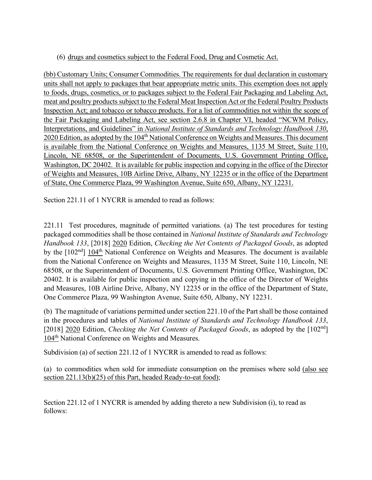## (6) drugs and cosmetics subject to the Federal Food, Drug and Cosmetic Act.

(bb) Customary Units; Consumer Commodities. The requirements for dual declaration in customary units shall not apply to packages that bear appropriate metric units. This exemption does not apply to foods, drugs, cosmetics, or to packages subject to the Federal Fair Packaging and Labeling Act, meat and poultry products subject to the Federal Meat Inspection Act or the Federal Poultry Products Inspection Act; and tobacco or tobacco products. For a list of commodities not within the scope of the Fair Packaging and Labeling Act, see section 2.6.8 in Chapter VI, headed "NCWM Policy, Interpretations, and Guidelines" in *National Institute of Standards and Technology Handbook 130*, 2020 Edition, as adopted by the 104<sup>th</sup> National Conference on Weights and Measures. This document is available from the National Conference on Weights and Measures, 1135 M Street, Suite 110, Lincoln, NE 68508, or the Superintendent of Documents, U.S. Government Printing Office, Washington, DC 20402. It is available for public inspection and copying in the office of the Director of Weights and Measures, 10B Airline Drive, Albany, NY 12235 or in the office of the Department of State, One Commerce Plaza, 99 Washington Avenue, Suite 650, Albany, NY 12231.

Section 221.11 of 1 NYCRR is amended to read as follows:

221.11 Test procedures, magnitude of permitted variations. (a) The test procedures for testing packaged commodities shall be those contained in *National Institute of Standards and Technology Handbook 133*, [2018] 2020 Edition, *Checking the Net Contents of Packaged Goods*, as adopted by the  $[102<sup>nd</sup>] 104<sup>th</sup> National Conference on Weights and Measures. The document is available$ from the National Conference on Weights and Measures, 1135 M Street, Suite 110, Lincoln, NE 68508, or the Superintendent of Documents, U.S. Government Printing Office, Washington, DC 20402. It is available for public inspection and copying in the office of the Director of Weights and Measures, 10B Airline Drive, Albany, NY 12235 or in the office of the Department of State, One Commerce Plaza, 99 Washington Avenue, Suite 650, Albany, NY 12231.

(b) The magnitude of variations permitted under section 221.10 of the Part shall be those contained in the procedures and tables of *National Institute of Standards and Technology Handbook 133*, [2018] 2020 Edition, *Checking the Net Contents of Packaged Goods*, as adopted by the [102nd] 104<sup>th</sup> National Conference on Weights and Measures.

Subdivision (a) of section 221.12 of 1 NYCRR is amended to read as follows:

(a) to commodities when sold for immediate consumption on the premises where sold (also see section 221.13(b)(25) of this Part, headed Ready-to-eat food);

Section 221.12 of 1 NYCRR is amended by adding thereto a new Subdivision (i), to read as follows: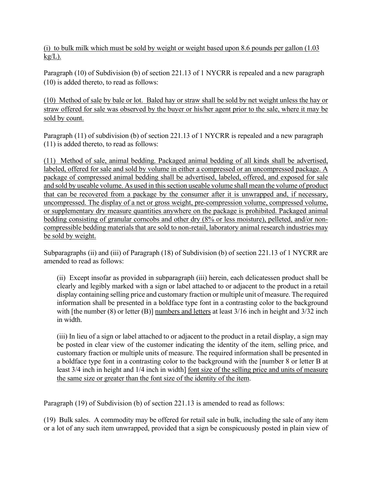(i) to bulk milk which must be sold by weight or weight based upon 8.6 pounds per gallon (1.03  $kg/L$ ).

Paragraph (10) of Subdivision (b) of section 221.13 of 1 NYCRR is repealed and a new paragraph (10) is added thereto, to read as follows:

(10) Method of sale by bale or lot. Baled hay or straw shall be sold by net weight unless the hay or straw offered for sale was observed by the buyer or his/her agent prior to the sale, where it may be sold by count.

Paragraph (11) of subdivision (b) of section 221.13 of 1 NYCRR is repealed and a new paragraph (11) is added thereto, to read as follows:

(11) Method of sale, animal bedding. Packaged animal bedding of all kinds shall be advertised, labeled, offered for sale and sold by volume in either a compressed or an uncompressed package. A package of compressed animal bedding shall be advertised, labeled, offered, and exposed for sale and sold by useable volume. As used in this section useable volume shall mean the volume of product that can be recovered from a package by the consumer after it is unwrapped and, if necessary, uncompressed. The display of a net or gross weight, pre-compression volume, compressed volume, or supplementary dry measure quantities anywhere on the package is prohibited. Packaged animal bedding consisting of granular corncobs and other dry (8% or less moisture), pelleted, and/or noncompressible bedding materials that are sold to non-retail, laboratory animal research industries may be sold by weight.

Subparagraphs (ii) and (iii) of Paragraph (18) of Subdivision (b) of section 221.13 of 1 NYCRR are amended to read as follows:

(ii) Except insofar as provided in subparagraph (iii) herein, each delicatessen product shall be clearly and legibly marked with a sign or label attached to or adjacent to the product in a retail display containing selling price and customary fraction or multiple unit of measure. The required information shall be presented in a boldface type font in a contrasting color to the background with [the number  $(8)$  or letter  $(B)$ ] numbers and letters at least 3/16 inch in height and 3/32 inch in width.

(iii) In lieu of a sign or label attached to or adjacent to the product in a retail display, a sign may be posted in clear view of the customer indicating the identity of the item, selling price, and customary fraction or multiple units of measure. The required information shall be presented in a boldface type font in a contrasting color to the background with the [number 8 or letter B at least 3/4 inch in height and 1/4 inch in width] font size of the selling price and units of measure the same size or greater than the font size of the identity of the item.

Paragraph (19) of Subdivision (b) of section 221.13 is amended to read as follows:

(19) Bulk sales. A commodity may be offered for retail sale in bulk, including the sale of any item or a lot of any such item unwrapped, provided that a sign be conspicuously posted in plain view of